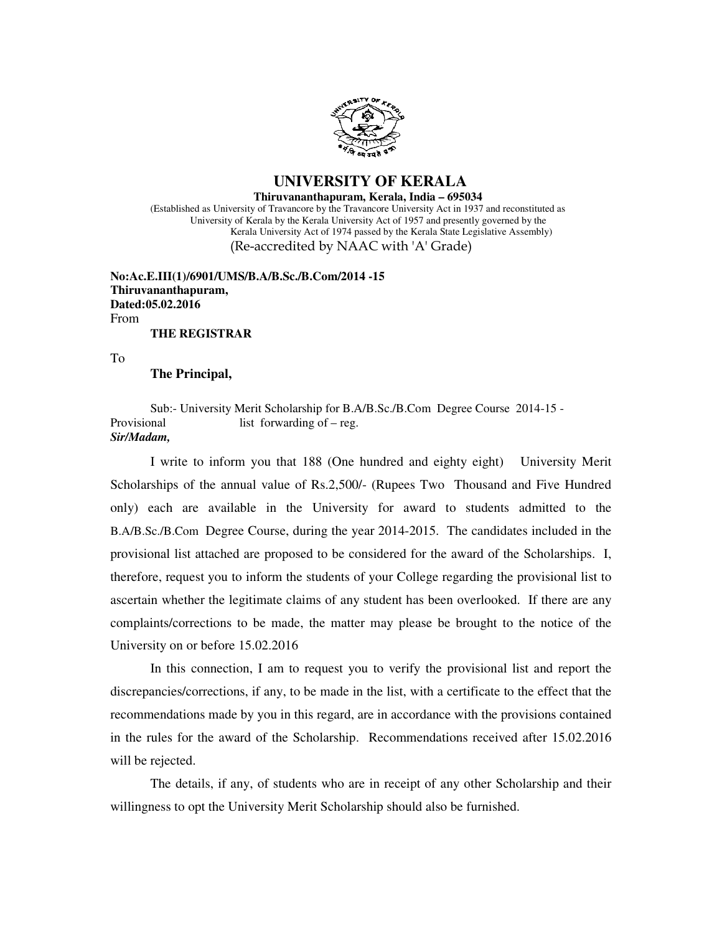

#### **UNIVERSITY OF KERALA Thiruvananthapuram, Kerala, India – 695034** (Established as University of Travancore by the Travancore University Act in 1937 and reconstituted as University of Kerala by the Kerala University Act of 1957 and presently governed by the Kerala University Act of 1974 passed by the Kerala State Legislative Assembly) (Re-accredited by NAAC with 'A' Grade)

**No:Ac.E.III(1)/6901/UMS/B.A/B.Sc./B.Com/2014 -15 Thiruvananthapuram, Dated:05.02.2016** From **THE REGISTRAR**

To

#### **The Principal,**

Sub:- University Merit Scholarship for B.A/B.Sc./B.Com Degree Course 2014-15 - Provisional list forwarding of – reg. *Sir/Madam,*  Ĭ

 I write to inform you that 188 (One hundred and eighty eight) University Merit Scholarships of the annual value of Rs.2,500/- (Rupees Two Thousand and Five Hundred only) each are available in the University for award to students admitted to the B.A/B.Sc./B.Com Degree Course, during the year 2014-2015. The candidates included in the provisional list attached are proposed to be considered for the award of the Scholarships. I, therefore, request you to inform the students of your College regarding the provisional list to ascertain whether the legitimate claims of any student has been overlooked. If there are any complaints/corrections to be made, the matter may please be brought to the notice of the University on or before 15.02.2016

 In this connection, I am to request you to verify the provisional list and report the discrepancies/corrections, if any, to be made in the list, with a certificate to the effect that the recommendations made by you in this regard, are in accordance with the provisions contained in the rules for the award of the Scholarship. Recommendations received after 15.02.2016 will be rejected.

 The details, if any, of students who are in receipt of any other Scholarship and their willingness to opt the University Merit Scholarship should also be furnished.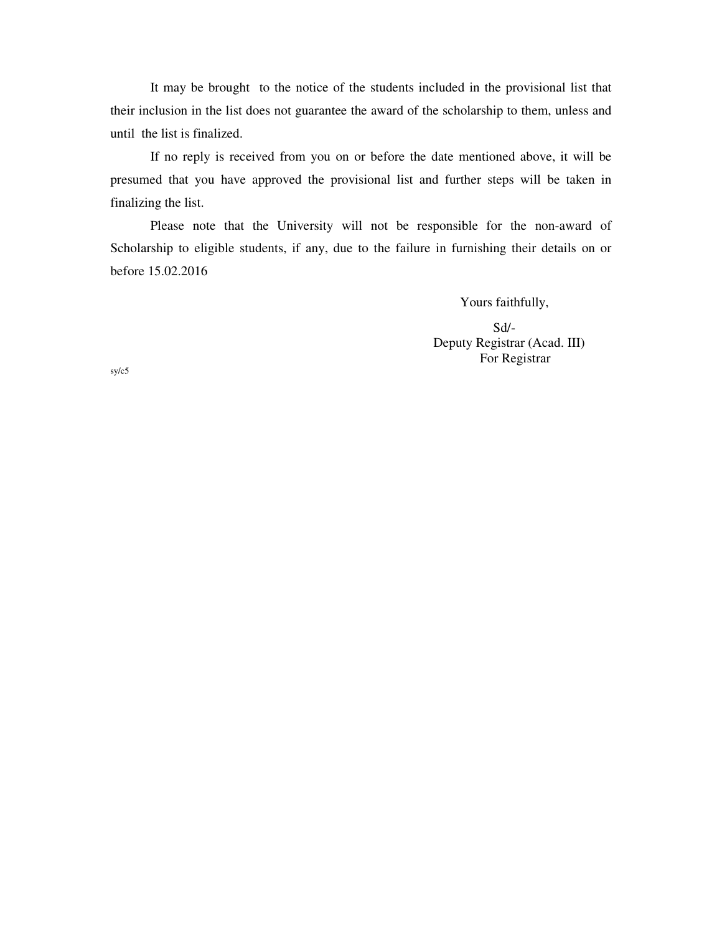It may be brought to the notice of the students included in the provisional list that their inclusion in the list does not guarantee the award of the scholarship to them, unless and until the list is finalized.

 If no reply is received from you on or before the date mentioned above, it will be presumed that you have approved the provisional list and further steps will be taken in finalizing the list.

 Please note that the University will not be responsible for the non-award of Scholarship to eligible students, if any, due to the failure in furnishing their details on or before 15.02.2016

Yours faithfully,

 Sd/- Deputy Registrar (Acad. III) For Registrar

sy/c5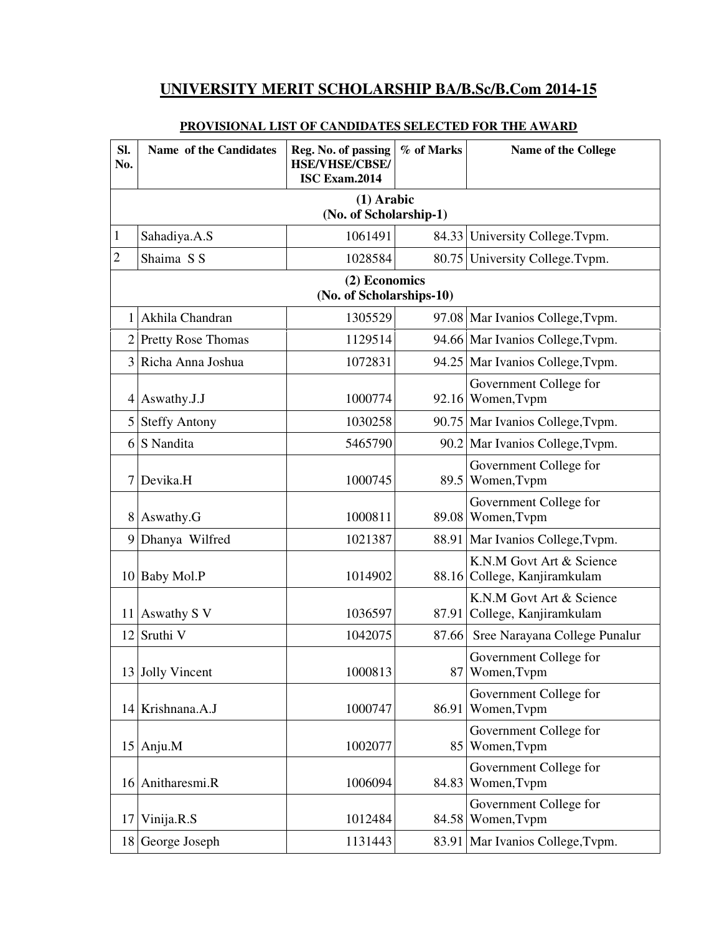# **UNIVERSITY MERIT SCHOLARSHIP BA/B.Sc/B.Com 2014-15**

| SI.<br>No.     | Name of the Candidates                 | Reg. No. of passing<br><b>HSE/VHSE/CBSE/</b><br><b>ISC Exam.2014</b> | % of Marks | <b>Name of the College</b>                               |  |  |  |
|----------------|----------------------------------------|----------------------------------------------------------------------|------------|----------------------------------------------------------|--|--|--|
|                | $(1)$ Arabic<br>(No. of Scholarship-1) |                                                                      |            |                                                          |  |  |  |
|                |                                        |                                                                      |            |                                                          |  |  |  |
| 1              | Sahadiya.A.S                           | 1061491                                                              |            | 84.33 University College. Tvpm.                          |  |  |  |
| $\overline{c}$ | Shaima S S                             | 1028584                                                              |            | 80.75 University College. Typm.                          |  |  |  |
|                |                                        | (2) Economics<br>(No. of Scholarships-10)                            |            |                                                          |  |  |  |
|                | Akhila Chandran                        | 1305529                                                              |            | 97.08 Mar Ivanios College, Typm.                         |  |  |  |
| $\overline{2}$ | <b>Pretty Rose Thomas</b>              | 1129514                                                              |            | 94.66 Mar Ivanios College, Typm.                         |  |  |  |
|                | 3 Richa Anna Joshua                    | 1072831                                                              |            | 94.25 Mar Ivanios College, Tvpm.                         |  |  |  |
|                | 4 Aswathy.J.J                          | 1000774                                                              |            | Government College for<br>92.16 Women, Typm              |  |  |  |
|                | 5 Steffy Antony                        | 1030258                                                              |            | 90.75 Mar Ivanios College, Typm.                         |  |  |  |
|                | 6 S Nandita                            | 5465790                                                              |            | 90.2 Mar Ivanios College, Typm.                          |  |  |  |
| 7              | Devika.H                               | 1000745                                                              |            | Government College for<br>89.5 Women, Typm               |  |  |  |
|                | 8 Aswathy.G                            | 1000811                                                              |            | Government College for<br>89.08 Women, Typm              |  |  |  |
|                | 9 Dhanya Wilfred                       | 1021387                                                              |            | 88.91 Mar Ivanios College, Typm.                         |  |  |  |
|                | 10 Baby Mol.P                          | 1014902                                                              |            | K.N.M Govt Art & Science<br>88.16 College, Kanjiramkulam |  |  |  |
| 11             | Aswathy S V                            | 1036597                                                              |            | K.N.M Govt Art & Science<br>87.91 College, Kanjiramkulam |  |  |  |
|                | 12 Sruthi V                            | 1042075                                                              | 87.66      | Sree Narayana College Punalur                            |  |  |  |
|                | 13 Jolly Vincent                       | 1000813                                                              |            | Government College for<br>87 Women, Tvpm                 |  |  |  |
|                | 14 Krishnana.A.J                       | 1000747                                                              | 86.91      | Government College for<br>Women, Tvpm                    |  |  |  |
|                | $15$ Anju.M                            | 1002077                                                              |            | Government College for<br>85 Women, Typm                 |  |  |  |
|                | 16 Anitharesmi.R                       | 1006094                                                              |            | Government College for<br>84.83 Women, Typm              |  |  |  |
|                | $17$ Vinija.R.S                        | 1012484                                                              |            | Government College for<br>84.58 Women, Typm              |  |  |  |
|                | 18 George Joseph                       | 1131443                                                              |            | 83.91 Mar Ivanios College, Typm.                         |  |  |  |

### **PROVISIONAL LIST OF CANDIDATES SELECTED FOR THE AWARD**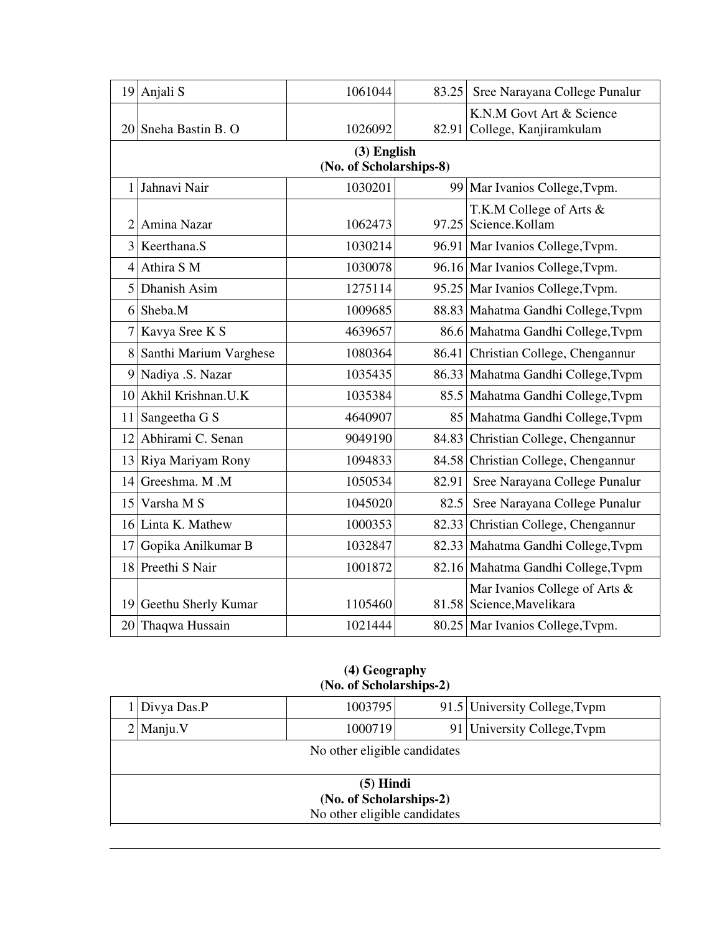|                | $19$ Anjali S                          | 1061044 | 83.25 | Sree Narayana College Punalur                              |  |  |  |
|----------------|----------------------------------------|---------|-------|------------------------------------------------------------|--|--|--|
|                | 20 Sneha Bastin B. O                   | 1026092 |       | K.N.M Govt Art & Science<br>82.91 College, Kanjiramkulam   |  |  |  |
|                | (3) English<br>(No. of Scholarships-8) |         |       |                                                            |  |  |  |
|                | 1 Jahnavi Nair                         | 1030201 |       | 99 Mar Ivanios College, Typm.                              |  |  |  |
|                | 2 Amina Nazar                          | 1062473 |       | T.K.M College of Arts &<br>97.25 Science.Kollam            |  |  |  |
|                | 3 Keerthana.S                          | 1030214 |       | 96.91 Mar Ivanios College, Tvpm.                           |  |  |  |
|                | $4$ Athira S M                         | 1030078 |       | 96.16 Mar Ivanios College, Typm.                           |  |  |  |
|                | 5 Dhanish Asim                         | 1275114 |       | 95.25 Mar Ivanios College, Typm.                           |  |  |  |
| 6 <sup>1</sup> | Sheba.M                                | 1009685 |       | 88.83 Mahatma Gandhi College, Tvpm                         |  |  |  |
|                | 7 Kavya Sree K S                       | 4639657 |       | 86.6 Mahatma Gandhi College, Tvpm                          |  |  |  |
|                | 8 Santhi Marium Varghese               | 1080364 |       | 86.41 Christian College, Chengannur                        |  |  |  |
|                | 9 Nadiya .S. Nazar                     | 1035435 |       | 86.33 Mahatma Gandhi College, Tvpm                         |  |  |  |
|                | 10 Akhil Krishnan.U.K                  | 1035384 |       | 85.5 Mahatma Gandhi College, Tvpm                          |  |  |  |
| 11             | Sangeetha G S                          | 4640907 |       | 85 Mahatma Gandhi College, Tvpm                            |  |  |  |
| 12             | Abhirami C. Senan                      | 9049190 |       | 84.83 Christian College, Chengannur                        |  |  |  |
| 13             | Riya Mariyam Rony                      | 1094833 |       | 84.58 Christian College, Chengannur                        |  |  |  |
| 14             | Greeshma. M.M                          | 1050534 | 82.91 | Sree Narayana College Punalur                              |  |  |  |
| 15             | Varsha M S                             | 1045020 | 82.5  | Sree Narayana College Punalur                              |  |  |  |
|                | 16 Linta K. Mathew                     | 1000353 |       | 82.33 Christian College, Chengannur                        |  |  |  |
| 17             | Gopika Anilkumar B                     | 1032847 |       | 82.33 Mahatma Gandhi College, Tvpm                         |  |  |  |
|                | 18 Preethi S Nair                      | 1001872 |       | 82.16 Mahatma Gandhi College, Tvpm                         |  |  |  |
|                | 19 Geethu Sherly Kumar                 | 1105460 |       | Mar Ivanios College of Arts &<br>81.58 Science, Mavelikara |  |  |  |
|                | 20 Thaqwa Hussain                      | 1021444 |       | 80.25 Mar Ivanios College, Typm.                           |  |  |  |

#### **(4) Geography (No. of Scholarships-2)**

|                                                                        | 1 Divya Das.P | 1003795                      |  | 91.5 University College, Typm |  |
|------------------------------------------------------------------------|---------------|------------------------------|--|-------------------------------|--|
|                                                                        | $2$  Manju.V  | 1000719                      |  | 91 University College, Typm   |  |
|                                                                        |               | No other eligible candidates |  |                               |  |
| $(5)$ Hindi<br>(No. of Scholarships-2)<br>No other eligible candidates |               |                              |  |                               |  |
|                                                                        |               |                              |  |                               |  |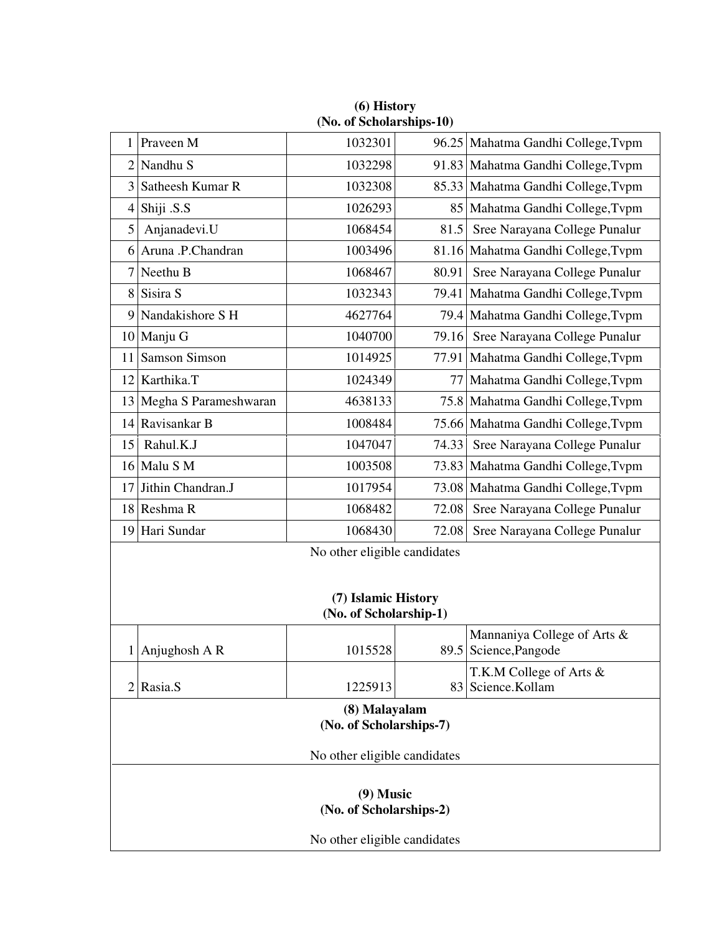|                                                                               | $(110. \, \text{U})$ of periodicial simps-to $\ell$ |         |       |                                                      |  |
|-------------------------------------------------------------------------------|-----------------------------------------------------|---------|-------|------------------------------------------------------|--|
| 1                                                                             | Praveen M                                           | 1032301 |       | 96.25 Mahatma Gandhi College, Typm                   |  |
| 2                                                                             | Nandhu S                                            | 1032298 |       | 91.83 Mahatma Gandhi College, Tvpm                   |  |
| 3                                                                             | Satheesh Kumar R                                    | 1032308 |       | 85.33 Mahatma Gandhi College, Tvpm                   |  |
| $\overline{4}$                                                                | Shiji .S.S                                          | 1026293 |       | 85 Mahatma Gandhi College, Typm                      |  |
| 5                                                                             | Anjanadevi.U                                        | 1068454 | 81.5  | Sree Narayana College Punalur                        |  |
|                                                                               | 6 Aruna .P.Chandran                                 | 1003496 |       | 81.16 Mahatma Gandhi College, Tvpm                   |  |
| 7                                                                             | Neethu B                                            | 1068467 | 80.91 | Sree Narayana College Punalur                        |  |
| 8                                                                             | Sisira S                                            | 1032343 |       | 79.41 Mahatma Gandhi College, Tvpm                   |  |
| 9                                                                             | Nandakishore S H                                    | 4627764 |       | 79.4 Mahatma Gandhi College, Typm                    |  |
|                                                                               | 10 Manju G                                          | 1040700 | 79.16 | Sree Narayana College Punalur                        |  |
| 11                                                                            | <b>Samson Simson</b>                                | 1014925 |       | 77.91 Mahatma Gandhi College, Tvpm                   |  |
| 12                                                                            | Karthika.T                                          | 1024349 | 77    | Mahatma Gandhi College, Tvpm                         |  |
| 13                                                                            | Megha S Parameshwaran                               | 4638133 |       | 75.8 Mahatma Gandhi College, Tvpm                    |  |
| 14                                                                            | Ravisankar B                                        | 1008484 |       | 75.66 Mahatma Gandhi College, Tvpm                   |  |
| 15                                                                            | Rahul.K.J                                           | 1047047 | 74.33 | Sree Narayana College Punalur                        |  |
|                                                                               | 16 Malu S M                                         | 1003508 |       | 73.83 Mahatma Gandhi College, Tvpm                   |  |
| 17                                                                            | Jithin Chandran.J                                   | 1017954 |       | 73.08 Mahatma Gandhi College, Tvpm                   |  |
|                                                                               | 18 Reshma R                                         | 1068482 | 72.08 | Sree Narayana College Punalur                        |  |
|                                                                               | 19 Hari Sundar                                      | 1068430 | 72.08 | Sree Narayana College Punalur                        |  |
| No other eligible candidates<br>(7) Islamic History<br>(No. of Scholarship-1) |                                                     |         |       |                                                      |  |
|                                                                               | $1$ Anjughosh A R                                   | 1015528 |       | Mannaniya College of Arts &<br>89.5 Science, Pangode |  |
| $\overline{2}$                                                                | Rasia.S                                             | 1225913 |       | T.K.M College of Arts &<br>83 Science.Kollam         |  |
| (8) Malayalam<br>(No. of Scholarships-7)                                      |                                                     |         |       |                                                      |  |
| No other eligible candidates                                                  |                                                     |         |       |                                                      |  |
| $(9)$ Music<br>(No. of Scholarships-2)<br>No other eligible candidates        |                                                     |         |       |                                                      |  |

**(6) History (No. of Scholarships-10)**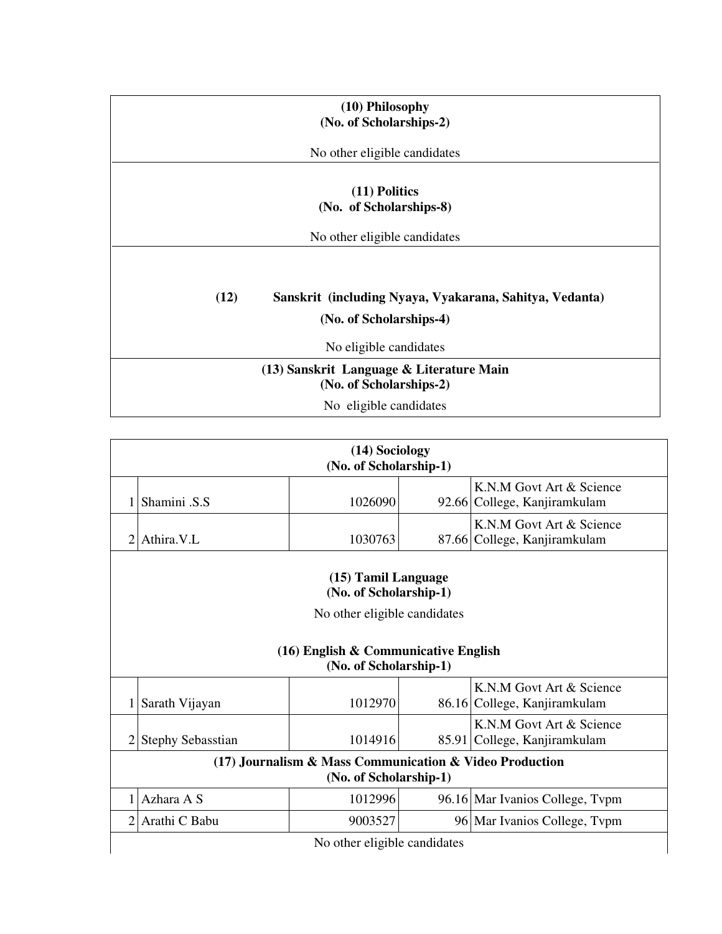| (10) Philosophy<br>(No. of Scholarships-2)                          |
|---------------------------------------------------------------------|
| No other eligible candidates                                        |
| $(11)$ Politics<br>(No. of Scholarships-8)                          |
| No other eligible candidates                                        |
| (12)<br>Sanskrit (including Nyaya, Vyakarana, Sahitya, Vedanta)     |
| (No. of Scholarships-4)                                             |
| No eligible candidates                                              |
| (13) Sanskrit Language & Literature Main<br>(No. of Scholarships-2) |
| No eligible candidates                                              |

|                                               |                          | (14) Sociology<br>(No. of Scholarship-1)                                          |  |                                                          |  |
|-----------------------------------------------|--------------------------|-----------------------------------------------------------------------------------|--|----------------------------------------------------------|--|
|                                               | Shamini .S.S             | 1026090                                                                           |  | K.N.M Govt Art & Science<br>92.66 College, Kanjiramkulam |  |
| 2                                             | Athira.V.L               | 1030763                                                                           |  | K.N.M Govt Art & Science<br>87.66 College, Kanjiramkulam |  |
| (15) Tamil Language<br>(No. of Scholarship-1) |                          |                                                                                   |  |                                                          |  |
| No other eligible candidates                  |                          |                                                                                   |  |                                                          |  |
|                                               |                          |                                                                                   |  |                                                          |  |
|                                               | Sarath Vijayan           | (16) English & Communicative English<br>(No. of Scholarship-1)<br>1012970         |  | K.N.M Govt Art & Science<br>86.16 College, Kanjiramkulam |  |
| 2                                             | <b>Stephy Sebasstian</b> | 1014916                                                                           |  | K.N.M Govt Art & Science<br>85.91 College, Kanjiramkulam |  |
|                                               |                          | (17) Journalism & Mass Communication & Video Production<br>(No. of Scholarship-1) |  |                                                          |  |
| 1                                             | Azhara A S               | 1012996                                                                           |  | 96.16 Mar Ivanios College, Typm                          |  |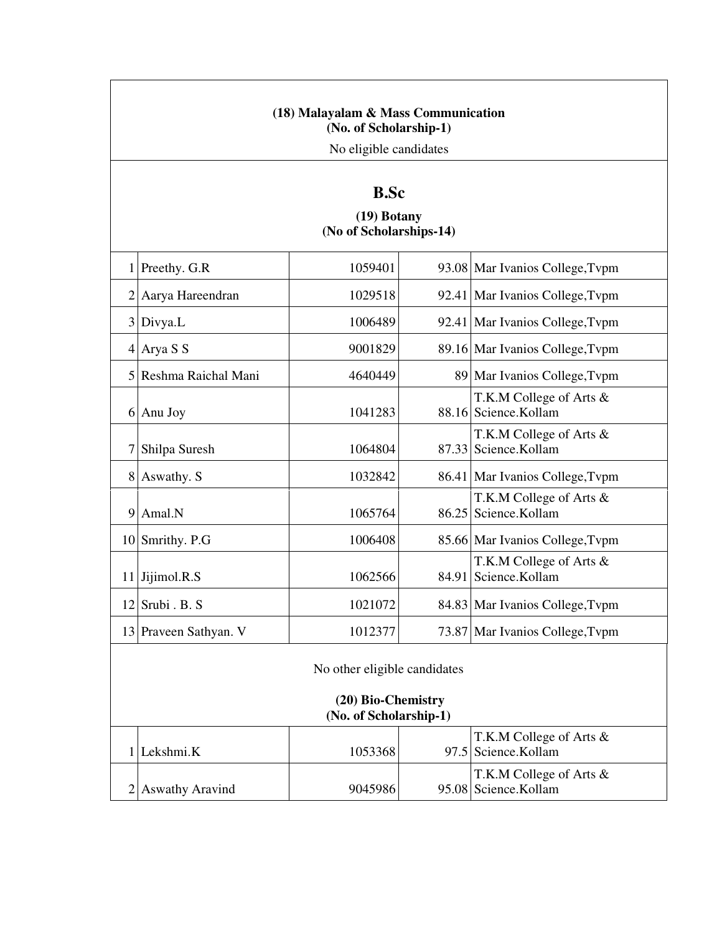#### **(18) Malayalam & Mass Communication (No. of Scholarship-1)**

No eligible candidates

# **B.Sc**

## **(19) Botany (No of Scholarships-14)**

|                | Preethy. G.R                                       | 1059401 |  | 93.08 Mar Ivanios College, Typm                 |  |
|----------------|----------------------------------------------------|---------|--|-------------------------------------------------|--|
| $\overline{2}$ | Aarya Hareendran                                   | 1029518 |  | 92.41 Mar Ivanios College, Typm                 |  |
| 3              | Divya.L                                            | 1006489 |  | 92.41 Mar Ivanios College, Typm                 |  |
| 4              | Arya S S                                           | 9001829 |  | 89.16 Mar Ivanios College, Typm                 |  |
| 5              | Reshma Raichal Mani                                | 4640449 |  | 89 Mar Ivanios College, Typm                    |  |
| 6              | Anu Joy                                            | 1041283 |  | T.K.M College of Arts &<br>88.16 Science.Kollam |  |
|                | Shilpa Suresh                                      | 1064804 |  | T.K.M College of Arts &<br>87.33 Science.Kollam |  |
| 8              | Aswathy. S                                         | 1032842 |  | 86.41 Mar Ivanios College, Typm                 |  |
| 9              | Amal.N                                             | 1065764 |  | T.K.M College of Arts &<br>86.25 Science.Kollam |  |
|                | 10 Smrithy. P.G                                    | 1006408 |  | 85.66 Mar Ivanios College, Typm                 |  |
| 11             | Jijimol.R.S                                        | 1062566 |  | T.K.M College of Arts &<br>84.91 Science.Kollam |  |
| 12             | Srubi . B. S                                       | 1021072 |  | 84.83 Mar Ivanios College, Typm                 |  |
| 13             | Praveen Sathyan. V                                 | 1012377 |  | 73.87 Mar Ivanios College, Typm                 |  |
|                | No other eligible candidates<br>(20) Bio-Chemistry |         |  |                                                 |  |
|                | (No. of Scholarship-1)                             |         |  |                                                 |  |

T.K.M College of Arts &

T.K.M College of Arts &

97.5 Science.Kollam

95.08 Science.Kollam

1 Lekshmi.K 1053368

 $2$ Aswathy Aravind 9045986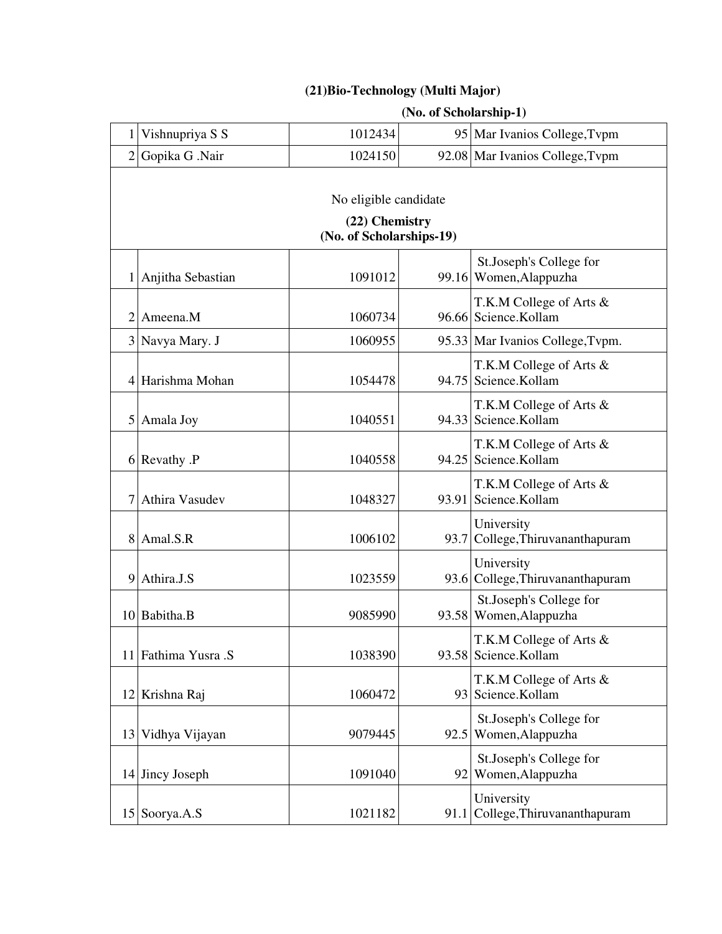## **(21)Bio-Technology (Multi Major)**

## **(No. of Scholarship-1)**

|   | Vishnupriya S S       | 1012434                  |  | 95 Mar Ivanios College, Typm                      |  |  |  |
|---|-----------------------|--------------------------|--|---------------------------------------------------|--|--|--|
|   | 2 Gopika G .Nair      | 1024150                  |  | 92.08 Mar Ivanios College, Typm                   |  |  |  |
|   |                       |                          |  |                                                   |  |  |  |
|   | No eligible candidate |                          |  |                                                   |  |  |  |
|   |                       | (22) Chemistry           |  |                                                   |  |  |  |
|   |                       | (No. of Scholarships-19) |  |                                                   |  |  |  |
|   | 1 Anjitha Sebastian   | 1091012                  |  | St.Joseph's College for<br>99.16 Women, Alappuzha |  |  |  |
| 2 | Ameena.M              | 1060734                  |  | T.K.M College of Arts &<br>96.66 Science.Kollam   |  |  |  |
|   | 3 Navya Mary. J       | 1060955                  |  | 95.33 Mar Ivanios College, Typm.                  |  |  |  |
|   | 4 Harishma Mohan      | 1054478                  |  | T.K.M College of Arts &<br>94.75 Science.Kollam   |  |  |  |
|   | 5 Amala Joy           | 1040551                  |  | T.K.M College of Arts &<br>94.33 Science.Kollam   |  |  |  |
|   | 6 Revathy .P          | 1040558                  |  | T.K.M College of Arts &<br>94.25 Science.Kollam   |  |  |  |
|   | Athira Vasudev        | 1048327                  |  | T.K.M College of Arts &<br>93.91 Science.Kollam   |  |  |  |
|   | 8 Amal.S.R            | 1006102                  |  | University<br>93.7 College, Thiruvananthapuram    |  |  |  |
|   | 9 Athira.J.S          | 1023559                  |  | University<br>93.6 College, Thiruvananthapuram    |  |  |  |
|   | 10 Babitha.B          | 9085990                  |  | St.Joseph's College for<br>93.58 Women, Alappuzha |  |  |  |
|   | 11 Fathima Yusra .S   | 1038390                  |  | T.K.M College of Arts &<br>93.58 Science.Kollam   |  |  |  |
|   | 12 Krishna Raj        | 1060472                  |  | T.K.M College of Arts &<br>93 Science.Kollam      |  |  |  |
|   | 13 Vidhya Vijayan     | 9079445                  |  | St.Joseph's College for<br>92.5 Women, Alappuzha  |  |  |  |
|   | 14 Jincy Joseph       | 1091040                  |  | St.Joseph's College for<br>92 Women, Alappuzha    |  |  |  |
|   | 15 Soorya.A.S         | 1021182                  |  | University<br>91.1 College, Thiruvananthapuram    |  |  |  |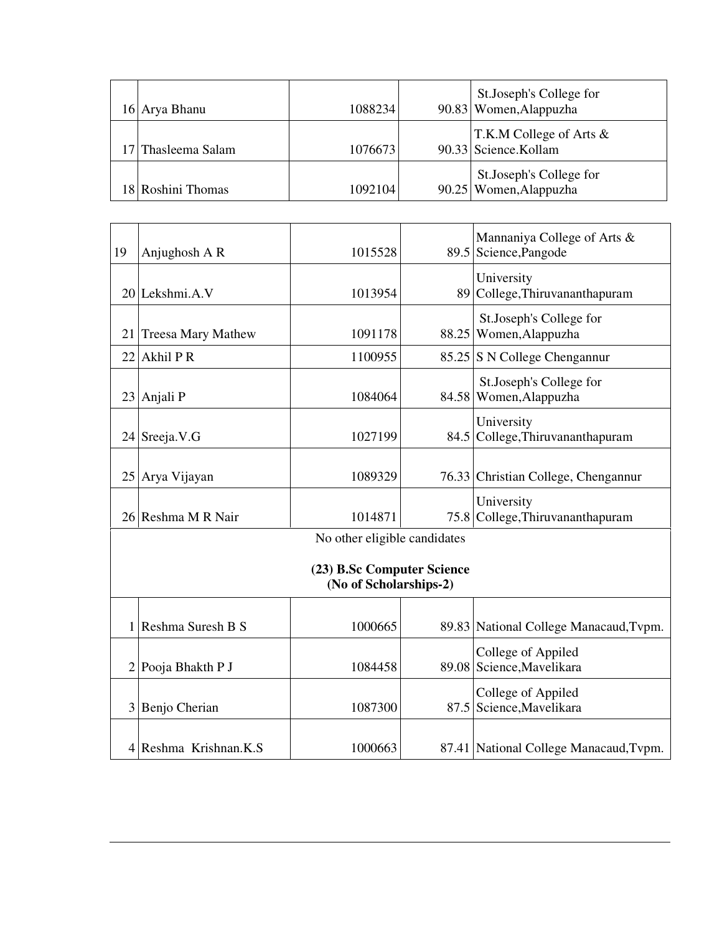| 16 Arya Bhanu      | 1088234 | St.Joseph's College for<br>90.83 Women, Alappuzha |
|--------------------|---------|---------------------------------------------------|
| 17 Thasleema Salam | 1076673 | T.K.M College of Arts &<br>90.33 Science.Kollam   |
| 18 Roshini Thomas  | 1092104 | St.Joseph's College for<br>90.25 Women, Alappuzha |

| 19             | Anjughosh A R                                        | 1015528                      |  | Mannaniya College of Arts &<br>89.5 Science, Pangode |  |  |
|----------------|------------------------------------------------------|------------------------------|--|------------------------------------------------------|--|--|
|                | 20 Lekshmi.A.V                                       | 1013954                      |  | University<br>89 College, Thiruvananthapuram         |  |  |
| 21             | <b>Treesa Mary Mathew</b>                            | 1091178                      |  | St.Joseph's College for<br>88.25 Women, Alappuzha    |  |  |
| 22             | Akhil PR                                             | 1100955                      |  | 85.25 S N College Chengannur                         |  |  |
|                | 23 Anjali P                                          | 1084064                      |  | St.Joseph's College for<br>84.58 Women, Alappuzha    |  |  |
|                | $24$ Sreeja. V.G                                     | 1027199                      |  | University<br>84.5 College, Thiruvananthapuram       |  |  |
|                | 25 Arya Vijayan                                      | 1089329                      |  | 76.33 Christian College, Chengannur                  |  |  |
|                | 26 Reshma M R Nair                                   | 1014871                      |  | University<br>75.8 College, Thiruvananthapuram       |  |  |
|                |                                                      | No other eligible candidates |  |                                                      |  |  |
|                | (23) B.Sc Computer Science<br>(No of Scholarships-2) |                              |  |                                                      |  |  |
| 1 <sup>1</sup> | Reshma Suresh B S                                    | 1000665                      |  | 89.83 National College Manacaud, Typm.               |  |  |
|                | 2 Pooja Bhakth P J                                   | 1084458                      |  | College of Appiled<br>89.08 Science, Mavelikara      |  |  |
|                | 3 Benjo Cherian                                      | 1087300                      |  | College of Appiled<br>87.5 Science, Mavelikara       |  |  |
|                | 4 Reshma Krishnan.K.S                                | 1000663                      |  | 87.41 National College Manacaud, Typm.               |  |  |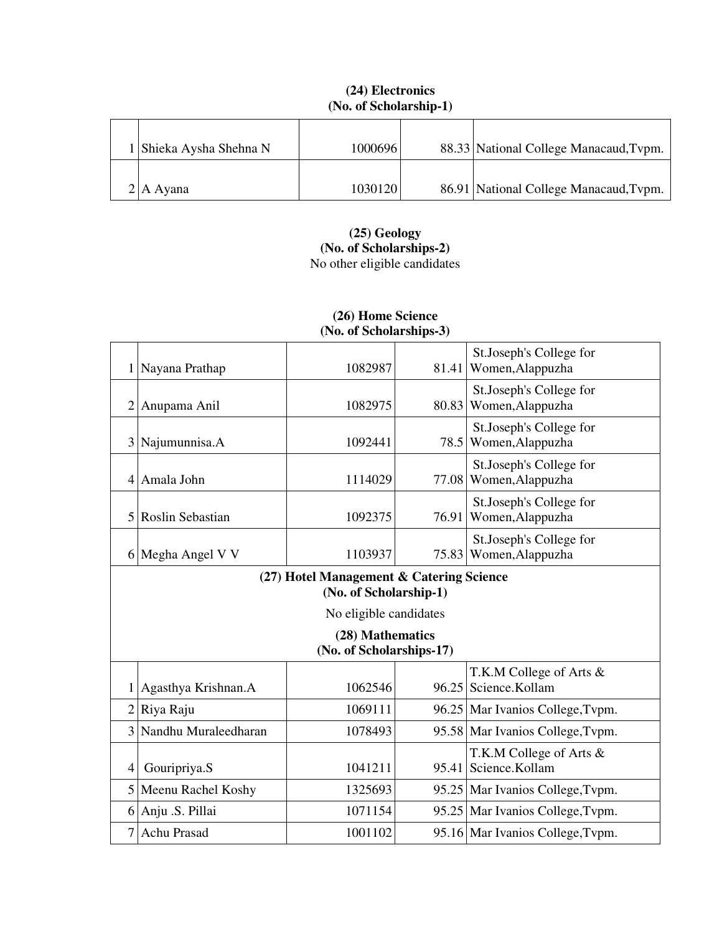| 1 Shieka Aysha Shehna N | 1000696 | 88.33 National College Manacaud, Typm. |
|-------------------------|---------|----------------------------------------|
|                         |         |                                        |
| $2 A \text{ Ayana}$     | 1030120 | 86.91 National College Manacaud, Typm. |

#### **(24) Electronics (No. of Scholarship-1)**

**(25) Geology (No. of Scholarships-2)**  No other eligible candidates

| (No. of Scholarships-3) |                       |                                                                    |       |                                                 |
|-------------------------|-----------------------|--------------------------------------------------------------------|-------|-------------------------------------------------|
| 1                       | Nayana Prathap        | 1082987                                                            | 81.41 | St.Joseph's College for<br>Women, Alappuzha     |
|                         | 2 Anupama Anil        | 1082975                                                            | 80.83 | St.Joseph's College for<br>Women, Alappuzha     |
|                         | 3 Najumunnisa.A       | 1092441                                                            | 78.5  | St.Joseph's College for<br>Women, Alappuzha     |
| $\frac{4}{ }$           | Amala John            | 1114029                                                            | 77.08 | St.Joseph's College for<br>Women, Alappuzha     |
| 5                       | Roslin Sebastian      | 1092375                                                            | 76.91 | St.Joseph's College for<br>Women, Alappuzha     |
|                         | 6 Megha Angel V V     | 1103937                                                            | 75.83 | St.Joseph's College for<br>Women, Alappuzha     |
|                         |                       | (27) Hotel Management & Catering Science<br>(No. of Scholarship-1) |       |                                                 |
|                         |                       | No eligible candidates                                             |       |                                                 |
|                         |                       | (28) Mathematics<br>(No. of Scholarships-17)                       |       |                                                 |
|                         | 1 Agasthya Krishnan.A | 1062546                                                            |       | T.K.M College of Arts &<br>96.25 Science.Kollam |
|                         | $2$ Riya Raju         | 1069111                                                            |       | 96.25 Mar Ivanios College, Typm.                |
| 3                       | Nandhu Muraleedharan  | 1078493                                                            |       | 95.58 Mar Ivanios College, Typm.                |
| 4                       | Gouripriya.S          | 1041211                                                            |       | T.K.M College of Arts &<br>95.41 Science.Kollam |
|                         | 5 Meenu Rachel Koshy  | 1325693                                                            |       | 95.25 Mar Ivanios College, Typm.                |
|                         | 6 Anju .S. Pillai     | 1071154                                                            |       | 95.25 Mar Ivanios College, Typm.                |
|                         | 7 Achu Prasad         | 1001102                                                            |       | 95.16 Mar Ivanios College, Typm.                |

# **(26) Home Science**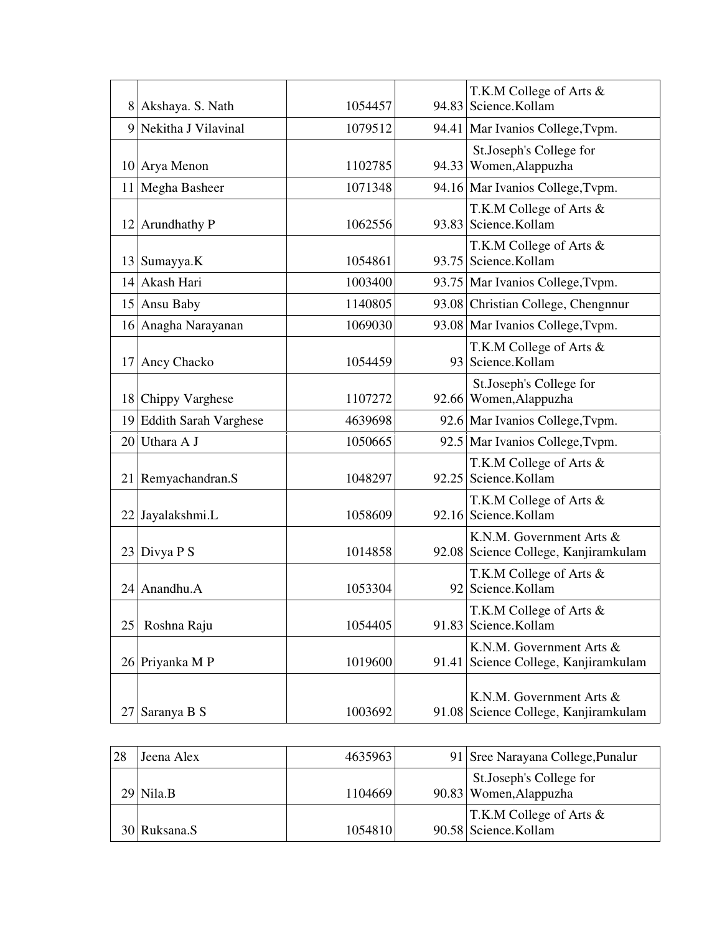|    | 8 Akshaya. S. Nath       | 1054457 | 94.83 | T.K.M College of Arts &<br>Science.Kollam                        |
|----|--------------------------|---------|-------|------------------------------------------------------------------|
|    | 9 Nekitha J Vilavinal    | 1079512 |       | 94.41 Mar Ivanios College, Tvpm.                                 |
|    | 10 Arya Menon            | 1102785 |       | St.Joseph's College for<br>94.33 Women, Alappuzha                |
|    | 11 Megha Basheer         | 1071348 |       | 94.16 Mar Ivanios College, Typm.                                 |
|    | 12 Arundhathy P          | 1062556 |       | T.K.M College of Arts &<br>93.83 Science.Kollam                  |
|    | 13 Sumayya.K             | 1054861 |       | T.K.M College of Arts &<br>93.75 Science.Kollam                  |
|    | 14 Akash Hari            | 1003400 |       | 93.75 Mar Ivanios College, Typm.                                 |
|    | 15 Ansu Baby             | 1140805 |       | 93.08 Christian College, Chengnnur                               |
|    | 16 Anagha Narayanan      | 1069030 |       | 93.08 Mar Ivanios College, Tvpm.                                 |
|    | 17 Ancy Chacko           | 1054459 |       | T.K.M College of Arts &<br>93 Science.Kollam                     |
|    | 18 Chippy Varghese       | 1107272 |       | St.Joseph's College for<br>92.66 Women, Alappuzha                |
|    | 19 Eddith Sarah Varghese | 4639698 |       | 92.6 Mar Ivanios College, Typm.                                  |
| 20 | Uthara A J               | 1050665 |       | 92.5 Mar Ivanios College, Typm.                                  |
|    | 21 Remyachandran.S       | 1048297 | 92.25 | T.K.M College of Arts &<br>Science.Kollam                        |
|    | 22 Jayalakshmi.L         | 1058609 |       | T.K.M College of Arts &<br>92.16 Science.Kollam                  |
|    | $23$ Divya P S           | 1014858 |       | K.N.M. Government Arts &<br>92.08 Science College, Kanjiramkulam |
|    | 24 Anandhu.A             | 1053304 | 92    | T.K.M College of Arts &<br>Science.Kollam                        |
| 25 | Roshna Raju              | 1054405 | 91.83 | T.K.M College of Arts &<br>Science.Kollam                        |
|    | 26 Priyanka M P          | 1019600 | 91.41 | K.N.M. Government Arts &<br>Science College, Kanjiramkulam       |
| 27 | Saranya B S              | 1003692 | 91.08 | K.N.M. Government Arts &<br>Science College, Kanjiramkulam       |

| 28 | Jeena Alex   | 4635963 | 91 Sree Narayana College, Punalur                  |
|----|--------------|---------|----------------------------------------------------|
|    | $29$ Nila.B  | 1104669 | St.Joseph's College for<br>90.83 Women, Alappuzha  |
|    | 30 Ruksana.S | 1054810 | T.K.M College of Arts $\&$<br>90.58 Science.Kollam |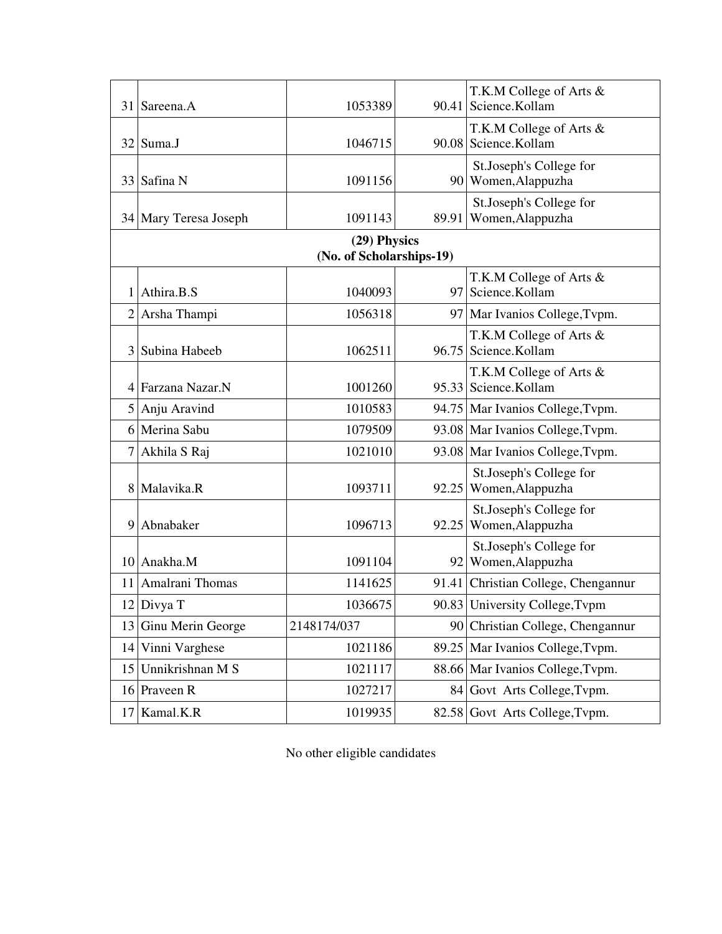|                | 31 Sareena.A          | 1053389                  |       | T.K.M College of Arts &<br>90.41 Science.Kollam   |
|----------------|-----------------------|--------------------------|-------|---------------------------------------------------|
|                |                       |                          |       |                                                   |
|                | 32 Suma.J             | 1046715                  |       | T.K.M College of Arts &<br>90.08 Science.Kollam   |
|                | 33 Safina N           | 1091156                  |       | St.Joseph's College for<br>90 Women, Alappuzha    |
|                | 34 Mary Teresa Joseph | 1091143                  | 89.91 | St.Joseph's College for<br>Women, Alappuzha       |
|                |                       | (29) Physics             |       |                                                   |
|                |                       | (No. of Scholarships-19) |       |                                                   |
|                | 1 Athira.B.S          | 1040093                  |       | T.K.M College of Arts &<br>97 Science.Kollam      |
| $\overline{2}$ | Arsha Thampi          | 1056318                  |       | 97   Mar Ivanios College, Typm.                   |
| 3              | Subina Habeeb         | 1062511                  |       | T.K.M College of Arts &<br>96.75 Science.Kollam   |
|                | 4 Farzana Nazar.N     | 1001260                  |       | T.K.M College of Arts &<br>95.33 Science.Kollam   |
| 5              | Anju Aravind          | 1010583                  |       | 94.75 Mar Ivanios College, Typm.                  |
|                | 6 Merina Sabu         | 1079509                  |       | 93.08 Mar Ivanios College, Typm.                  |
|                | 7 Akhila S Raj        | 1021010                  |       | 93.08 Mar Ivanios College, Typm.                  |
|                | 8 Malavika.R          | 1093711                  |       | St.Joseph's College for<br>92.25 Women, Alappuzha |
| 9              | Abnabaker             | 1096713                  | 92.25 | St.Joseph's College for<br>Women, Alappuzha       |
|                | 10 Anakha.M           | 1091104                  |       | St.Joseph's College for<br>92 Women, Alappuzha    |
| 11             | Amalrani Thomas       | 1141625                  |       | 91.41 Christian College, Chengannur               |
|                | 12 Divya T            | 1036675                  |       | 90.83 University College, Tvpm                    |
| 13             | Ginu Merin George     | 2148174/037              |       | 90 Christian College, Chengannur                  |
| 14             | Vinni Varghese        | 1021186                  | 89.25 | Mar Ivanios College, Tvpm.                        |
| 15             | Unnikrishnan M S      | 1021117                  |       | 88.66 Mar Ivanios College, Tvpm.                  |
|                | 16 Praveen R          | 1027217                  |       | 84 Govt Arts College, Typm.                       |
| 17             | Kamal.K.R             | 1019935                  |       | 82.58 Govt Arts College, Typm.                    |

No other eligible candidates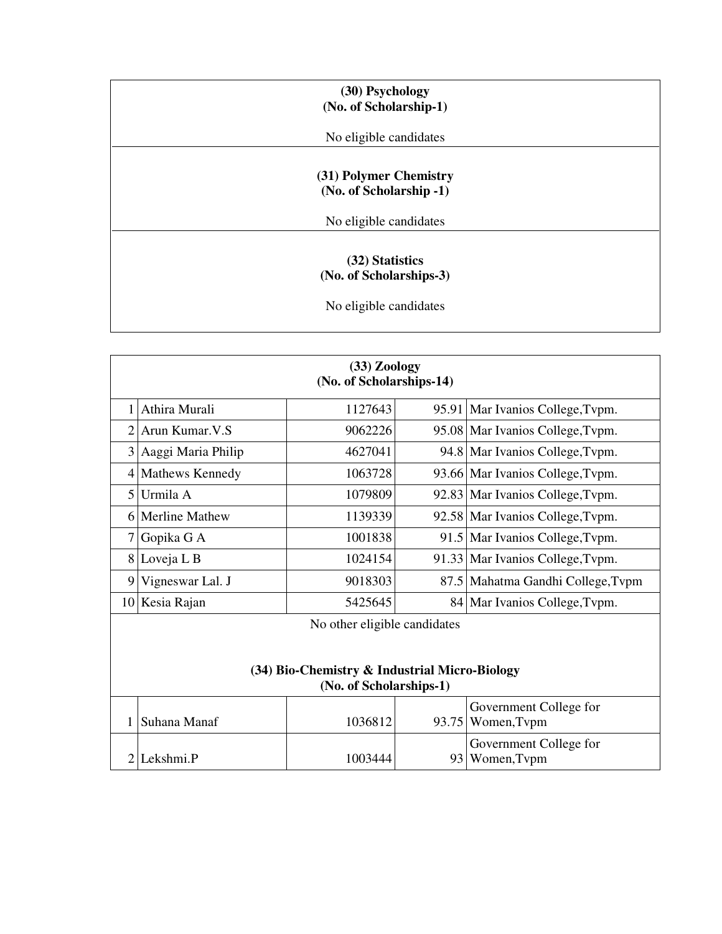| (30) Psychology<br>(No. of Scholarship-1)                            |  |
|----------------------------------------------------------------------|--|
| No eligible candidates                                               |  |
| (31) Polymer Chemistry<br>(No. of Scholarship -1)                    |  |
| No eligible candidates                                               |  |
| (32) Statistics<br>(No. of Scholarships-3)<br>No eligible candidates |  |

|   | $(33)$ Zoology<br>(No. of Scholarships-14) |                                                                                |       |                                   |  |
|---|--------------------------------------------|--------------------------------------------------------------------------------|-------|-----------------------------------|--|
|   |                                            |                                                                                |       |                                   |  |
|   | 1 Athira Murali                            | 1127643                                                                        |       | 95.91 Mar Ivanios College, Typm.  |  |
|   | 2 Arun Kumar. V.S                          | 9062226                                                                        |       | 95.08 Mar Ivanios College, Typm.  |  |
|   | 3 Aaggi Maria Philip                       | 4627041                                                                        |       | 94.8 Mar Ivanios College, Typm.   |  |
|   | 4 Mathews Kennedy                          | 1063728                                                                        |       | 93.66 Mar Ivanios College, Typm.  |  |
|   | 5 Urmila A                                 | 1079809                                                                        |       | 92.83 Mar Ivanios College, Typm.  |  |
|   | 6 Merline Mathew                           | 1139339                                                                        |       | 92.58 Mar Ivanios College, Typm.  |  |
|   | 7 Gopika G A                               | 1001838                                                                        |       | 91.5 Mar Ivanios College, Typm.   |  |
|   | 8 Loveja L B                               | 1024154                                                                        |       | 91.33 Mar Ivanios College, Typm.  |  |
| 9 | Vigneswar Lal. J                           | 9018303                                                                        |       | 87.5 Mahatma Gandhi College, Typm |  |
|   | 10 Kesia Rajan                             | 5425645                                                                        |       | 84   Mar Ivanios College, Typm.   |  |
|   |                                            | $\mathbf{1}$ $\mathbf{1}$ $\mathbf{1}$ $\mathbf{1}$ $\mathbf{1}$<br><b>B</b> T | 1.1.1 |                                   |  |

No other eligible candidates

#### **(34) Bio-Chemistry & Industrial Micro-Biology (No. of Scholarships-1)**

| Suhana Manaf | 1036812 |  | Government College for<br>93.75 Women, Typm |  |
|--------------|---------|--|---------------------------------------------|--|
| 2 Lekshmi.P  | 1003444 |  | Government College for<br>93 Women, Typm    |  |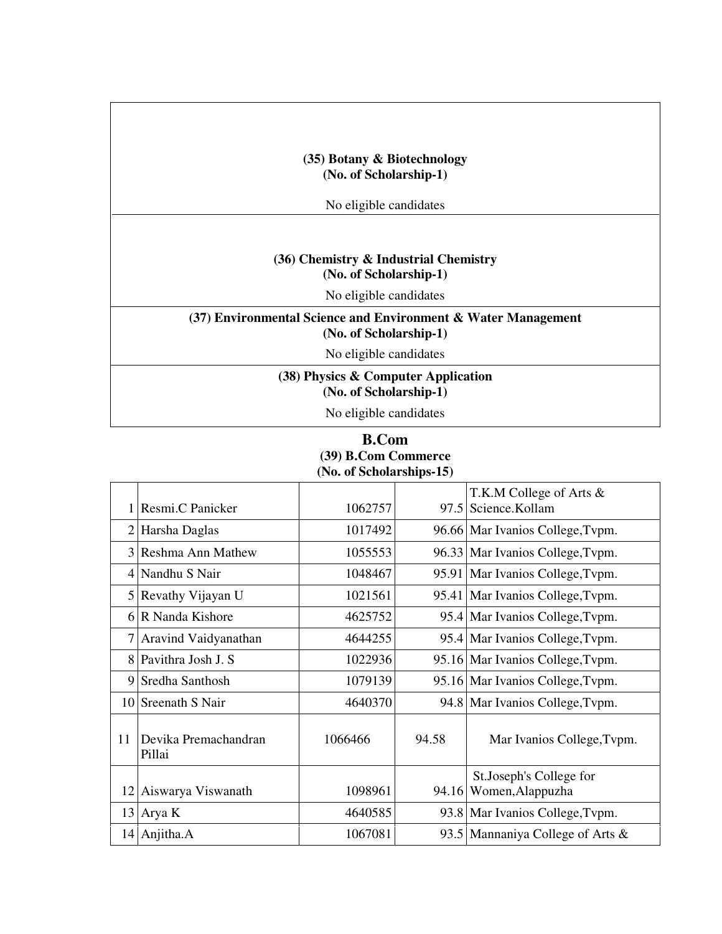### **(35) Botany & Biotechnology (No. of Scholarship-1)**

No eligible candidates

#### **(36) Chemistry & Industrial Chemistry (No. of Scholarship-1)**

No eligible candidates

## **(37) Environmental Science and Environment & Water Management (No. of Scholarship-1)**

No eligible candidates

**(38) Physics & Computer Application (No. of Scholarship-1)**

No eligible candidates

#### **B.Com (39) B.Com Commerce (No. of Scholarships-15)**

|    |                                |         |       | T.K.M College of Arts &          |
|----|--------------------------------|---------|-------|----------------------------------|
|    | Resmi.C Panicker               | 1062757 |       | 97.5 Science.Kollam              |
|    | 2 Harsha Daglas                | 1017492 |       | 96.66 Mar Ivanios College, Typm. |
|    | 3 Reshma Ann Mathew            | 1055553 |       | 96.33 Mar Ivanios College, Typm. |
|    | 4 Nandhu S Nair                | 1048467 |       | 95.91 Mar Ivanios College, Typm. |
|    | 5 Revathy Vijayan U            | 1021561 |       | 95.41 Mar Ivanios College, Typm. |
|    | 6 R Nanda Kishore              | 4625752 |       | 95.4 Mar Ivanios College, Typm.  |
| 7  | Aravind Vaidyanathan           | 4644255 |       | 95.4 Mar Ivanios College, Typm.  |
|    | 8 Pavithra Josh J. S           | 1022936 |       | 95.16 Mar Ivanios College, Typm. |
|    | 9 Sredha Santhosh              | 1079139 |       | 95.16 Mar Ivanios College, Typm. |
|    | 10 Sreenath S Nair             | 4640370 |       | 94.8 Mar Ivanios College, Typm.  |
| 11 | Devika Premachandran<br>Pillai | 1066466 | 94.58 | Mar Ivanios College, Typm.       |
|    |                                |         |       | St. Joseph's College for         |
| 12 | Aiswarya Viswanath             | 1098961 | 94.16 | Women, Alappuzha                 |
| 13 | Arya K                         | 4640585 |       | 93.8 Mar Ivanios College, Typm.  |
|    | $14$ Anjitha.A                 | 1067081 |       | 93.5 Mannaniya College of Arts & |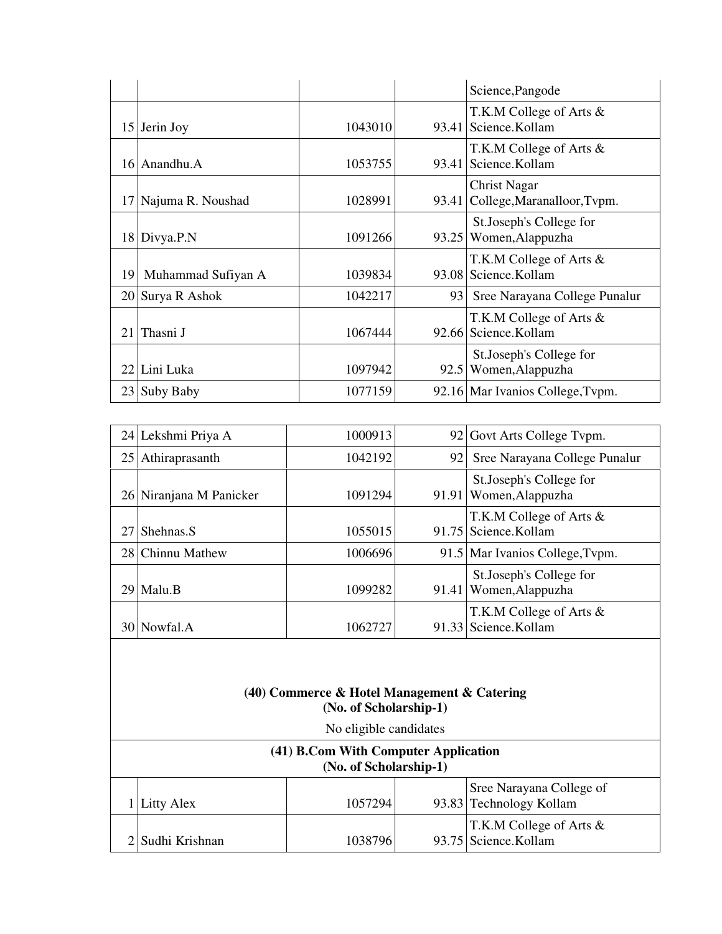|    |                    |         |       | Science, Pangode                                   |
|----|--------------------|---------|-------|----------------------------------------------------|
|    | 15 Jerin Joy       | 1043010 | 93.41 | T.K.M College of Arts &<br>Science.Kollam          |
|    | 16 Anandhu.A       | 1053755 | 93.41 | T.K.M College of Arts &<br>Science.Kollam          |
| 17 | Najuma R. Noushad  | 1028991 | 93.41 | <b>Christ Nagar</b><br>College, Maranalloor, Tvpm. |
|    | 18 Divya.P.N       | 1091266 | 93.25 | St.Joseph's College for<br>Women, Alappuzha        |
| 19 | Muhammad Sufiyan A | 1039834 |       | T.K.M College of Arts &<br>93.08 Science.Kollam    |
|    | 20 Surya R Ashok   | 1042217 | 93    | Sree Narayana College Punalur                      |
| 21 | Thasni J           | 1067444 | 92.66 | T.K.M College of Arts &<br>Science.Kollam          |
| 22 | Lini Luka          | 1097942 | 92.5  | St.Joseph's College for<br>Women, Alappuzha        |
|    | 23 Suby Baby       | 1077159 |       | 92.16 Mar Ivanios College, Typm.                   |

|    | 24 Lekshmi Priya A      | 1000913 |       | 92 Govt Arts College Typm.                        |
|----|-------------------------|---------|-------|---------------------------------------------------|
|    | 25 Athiraprasanth       | 1042192 | 92    | Sree Narayana College Punalur                     |
|    | 26 Niranjana M Panicker | 1091294 |       | St.Joseph's College for<br>91.91 Women, Alappuzha |
| 27 | Shehnas.S               | 1055015 |       | T.K.M College of Arts &<br>91.75 Science.Kollam   |
|    | 28 Chinnu Mathew        | 1006696 |       | 91.5 Mar Ivanios College, Typm.                   |
|    | $29$ Malu.B             | 1099282 | 91.41 | St.Joseph's College for<br>Women, Alappuzha       |
|    | 30 Nowfal.A             | 1062727 |       | T.K.M College of Arts &<br>91.33 Science.Kollam   |

#### **(40) Commerce & Hotel Management & Catering (No. of Scholarship-1)**

| No eligible candidates |  |
|------------------------|--|
|                        |  |

| (41) B.Com With Computer Application<br>(No. of Scholarship-1) |         |  |                                                     |  |
|----------------------------------------------------------------|---------|--|-----------------------------------------------------|--|
| Litty Alex                                                     | 1057294 |  | Sree Narayana College of<br>93.83 Technology Kollam |  |
| 2 Sudhi Krishnan                                               | 1038796 |  | T.K.M College of Arts $\&$<br>93.75 Science.Kollam  |  |